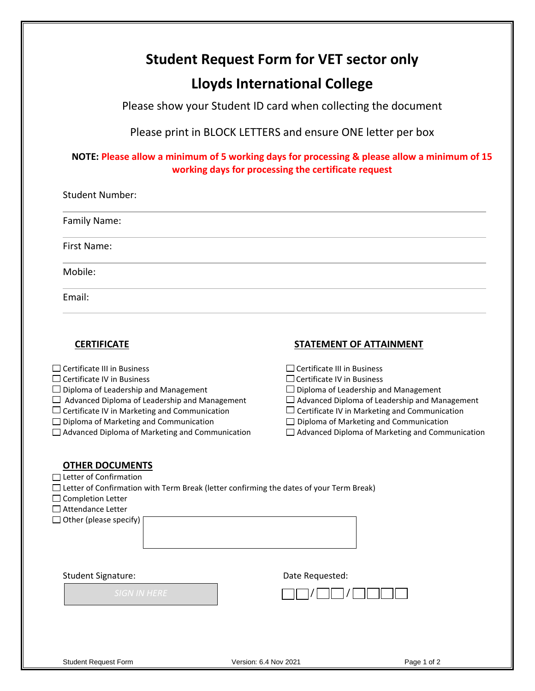## **Student Request Form for VET sector only**

# **Lloyds International College**

Please show your Student ID card when collecting the document

Please print in BLOCK LETTERS and ensure ONE letter per box

## **NOTE: Please allow a minimum of 5 working days for processing & please allow a minimum of 15 working days for processing the certificate request**

| <b>Student Number:</b> |  |  |
|------------------------|--|--|
| Family Name:           |  |  |
| First Name:            |  |  |
| Mobile:                |  |  |
| Email:                 |  |  |

### **CERTIFICATE** STATEMENT OF ATTAINMENT

| $\Box$ Certificate III in Business<br><b>Certificate IV in Business</b><br>Diploma of Leadership and Management<br>Advanced Diploma of Leadership and Management                                                       | $\Box$ Certificate III in Business<br>$\Box$ Certificate IV in Business<br>$\Box$ Diploma of Leadership and Management<br>$\Box$ Advanced Diploma of Leadership and Management |
|------------------------------------------------------------------------------------------------------------------------------------------------------------------------------------------------------------------------|--------------------------------------------------------------------------------------------------------------------------------------------------------------------------------|
| Certificate IV in Marketing and Communication                                                                                                                                                                          | Certificate IV in Marketing and Communication                                                                                                                                  |
| $\Box$ Diploma of Marketing and Communication<br>$\Box$ Advanced Diploma of Marketing and Communication                                                                                                                | Diploma of Marketing and Communication<br>Advanced Diploma of Marketing and Communication                                                                                      |
| <b>OTHER DOCUMENTS</b><br>Letter of Confirmation<br>Letter of Confirmation with Term Break (letter confirming the dates of your Term Break)<br><b>Completion Letter</b><br>Attendance Letter<br>Other (please specify) |                                                                                                                                                                                |
| <b>Student Signature:</b>                                                                                                                                                                                              | Date Requested:                                                                                                                                                                |
| <b>SIGN IN HERE</b>                                                                                                                                                                                                    |                                                                                                                                                                                |
|                                                                                                                                                                                                                        |                                                                                                                                                                                |

Student Request Form **Version: 6.4 Nov 2021** Page 1 of 2